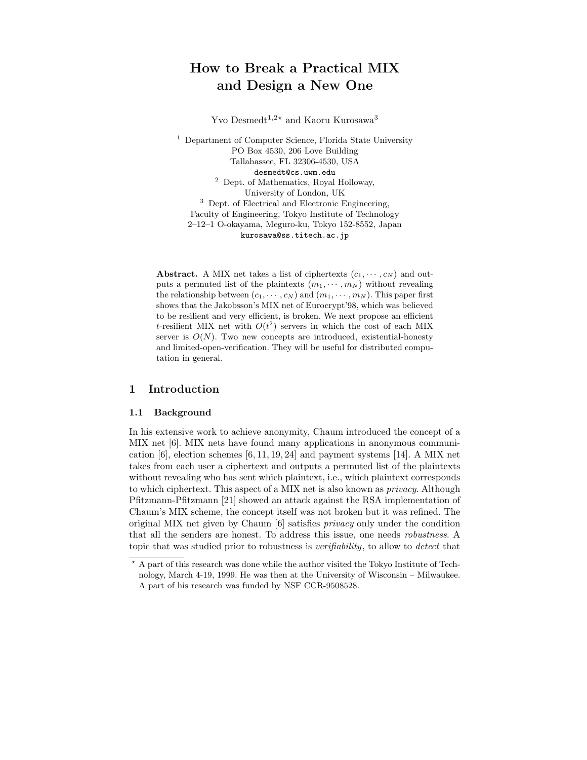# How to Break a Practical MIX and Design a New One

Yvo Desmedt<sup>1,2\*</sup> and Kaoru Kurosawa<sup>3</sup>

<sup>1</sup> Department of Computer Science, Florida State University PO Box 4530, 206 Love Building Tallahassee, FL 32306-4530, USA desmedt@cs.uwm.edu <sup>2</sup> Dept. of Mathematics, Royal Holloway, University of London, UK <sup>3</sup> Dept. of Electrical and Electronic Engineering, Faculty of Engineering, Tokyo Institute of Technology 2–12–1 O-okayama, Meguro-ku, Tokyo 152-8552, Japan kurosawa@ss.titech.ac.jp

Abstract. A MIX net takes a list of ciphertexts  $(c_1, \dots, c_N)$  and outputs a permuted list of the plaintexts  $(m_1, \dots, m_N)$  without revealing the relationship between  $(c_1, \dots, c_N)$  and  $(m_1, \dots, m_N)$ . This paper first shows that the Jakobsson's MIX net of Eurocrypt'98, which was believed to be resilient and very efficient, is broken. We next propose an efficient t-resilient MIX net with  $O(t^2)$  servers in which the cost of each MIX server is  $O(N)$ . Two new concepts are introduced, existential-honesty and limited-open-verification. They will be useful for distributed computation in general.

# 1 Introduction

### 1.1 Background

In his extensive work to achieve anonymity, Chaum introduced the concept of a MIX net [6]. MIX nets have found many applications in anonymous communication [6], election schemes [6, 11, 19, 24] and payment systems [14]. A MIX net takes from each user a ciphertext and outputs a permuted list of the plaintexts without revealing who has sent which plaintext, i.e., which plaintext corresponds to which ciphertext. This aspect of a MIX net is also known as privacy. Although Pfitzmann-Pfitzmann [21] showed an attack against the RSA implementation of Chaum's MIX scheme, the concept itself was not broken but it was refined. The original MIX net given by Chaum [6] satisfies privacy only under the condition that all the senders are honest. To address this issue, one needs robustness. A topic that was studied prior to robustness is verifiability, to allow to detect that

<sup>?</sup> A part of this research was done while the author visited the Tokyo Institute of Technology, March 4-19, 1999. He was then at the University of Wisconsin – Milwaukee. A part of his research was funded by NSF CCR-9508528.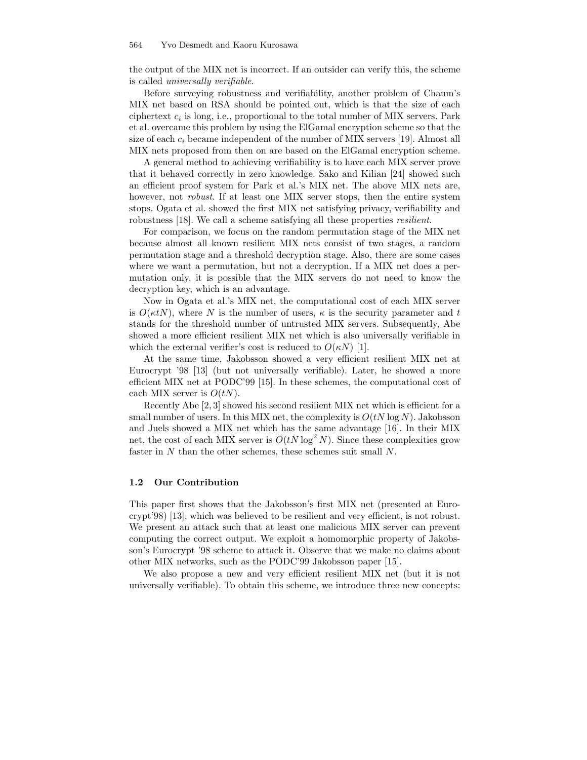the output of the MIX net is incorrect. If an outsider can verify this, the scheme is called universally verifiable.

Before surveying robustness and verifiability, another problem of Chaum's MIX net based on RSA should be pointed out, which is that the size of each ciphertext  $c_i$  is long, i.e., proportional to the total number of MIX servers. Park et al. overcame this problem by using the ElGamal encryption scheme so that the size of each  $c_i$  became independent of the number of MIX servers [19]. Almost all MIX nets proposed from then on are based on the ElGamal encryption scheme.

A general method to achieving verifiability is to have each MIX server prove that it behaved correctly in zero knowledge. Sako and Kilian [24] showed such an efficient proof system for Park et al.'s MIX net. The above MIX nets are, however, not *robust*. If at least one MIX server stops, then the entire system stops. Ogata et al. showed the first MIX net satisfying privacy, verifiability and robustness [18]. We call a scheme satisfying all these properties *resilient*.

For comparison, we focus on the random permutation stage of the MIX net because almost all known resilient MIX nets consist of two stages, a random permutation stage and a threshold decryption stage. Also, there are some cases where we want a permutation, but not a decryption. If a MIX net does a permutation only, it is possible that the MIX servers do not need to know the decryption key, which is an advantage.

Now in Ogata et al.'s MIX net, the computational cost of each MIX server is  $O(\kappa t)$ , where N is the number of users,  $\kappa$  is the security parameter and t stands for the threshold number of untrusted MIX servers. Subsequently, Abe showed a more efficient resilient MIX net which is also universally verifiable in which the external verifier's cost is reduced to  $O(\kappa N)$  [1].

At the same time, Jakobsson showed a very efficient resilient MIX net at Eurocrypt '98 [13] (but not universally verifiable). Later, he showed a more efficient MIX net at PODC'99 [15]. In these schemes, the computational cost of each MIX server is  $O(tN)$ .

Recently Abe [2, 3] showed his second resilient MIX net which is efficient for a small number of users. In this MIX net, the complexity is  $O(tN \log N)$ . Jakobsson and Juels showed a MIX net which has the same advantage [16]. In their MIX net, the cost of each MIX server is  $O(tN \log^2 N)$ . Since these complexities grow faster in N than the other schemes, these schemes suit small N.

### 1.2 Our Contribution

This paper first shows that the Jakobsson's first MIX net (presented at Eurocrypt'98) [13], which was believed to be resilient and very efficient, is not robust. We present an attack such that at least one malicious MIX server can prevent computing the correct output. We exploit a homomorphic property of Jakobsson's Eurocrypt '98 scheme to attack it. Observe that we make no claims about other MIX networks, such as the PODC'99 Jakobsson paper [15].

We also propose a new and very efficient resilient MIX net (but it is not universally verifiable). To obtain this scheme, we introduce three new concepts: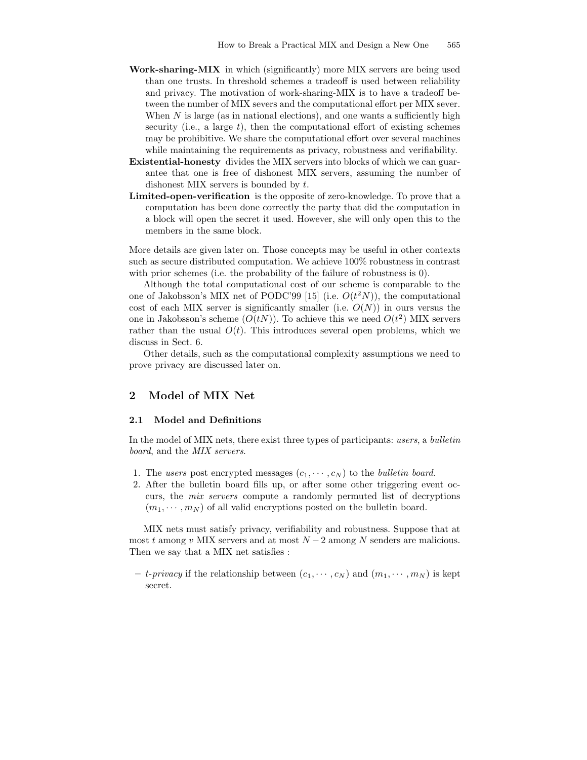- Work-sharing-MIX in which (significantly) more MIX servers are being used than one trusts. In threshold schemes a tradeoff is used between reliability and privacy. The motivation of work-sharing-MIX is to have a tradeoff between the number of MIX severs and the computational effort per MIX sever. When  $N$  is large (as in national elections), and one wants a sufficiently high security (i.e., a large  $t$ ), then the computational effort of existing schemes may be prohibitive. We share the computational effort over several machines while maintaining the requirements as privacy, robustness and verifiability.
- Existential-honesty divides the MIX servers into blocks of which we can guarantee that one is free of dishonest MIX servers, assuming the number of dishonest MIX servers is bounded by t.
- Limited-open-verification is the opposite of zero-knowledge. To prove that a computation has been done correctly the party that did the computation in a block will open the secret it used. However, she will only open this to the members in the same block.

More details are given later on. Those concepts may be useful in other contexts such as secure distributed computation. We achieve 100% robustness in contrast with prior schemes (i.e. the probability of the failure of robustness is 0).

Although the total computational cost of our scheme is comparable to the one of Jakobsson's MIX net of PODC'99 [15] (i.e.  $O(t^2N)$ ), the computational cost of each MIX server is significantly smaller (i.e.  $O(N)$ ) in ours versus the one in Jakobsson's scheme  $(O(tN))$ . To achieve this we need  $O(t^2)$  MIX servers rather than the usual  $O(t)$ . This introduces several open problems, which we discuss in Sect. 6.

Other details, such as the computational complexity assumptions we need to prove privacy are discussed later on.

# 2 Model of MIX Net

#### 2.1 Model and Definitions

In the model of MIX nets, there exist three types of participants: users, a bulletin board, and the MIX servers.

- 1. The users post encrypted messages  $(c_1, \dots, c_N)$  to the *bulletin board*.
- 2. After the bulletin board fills up, or after some other triggering event occurs, the mix servers compute a randomly permuted list of decryptions  $(m_1, \dots, m_N)$  of all valid encryptions posted on the bulletin board.

MIX nets must satisfy privacy, verifiability and robustness. Suppose that at most t among v MIX servers and at most  $N-2$  among N senders are malicious. Then we say that a MIX net satisfies :

– *t-privacy* if the relationship between  $(c_1, \dots, c_N)$  and  $(m_1, \dots, m_N)$  is kept secret.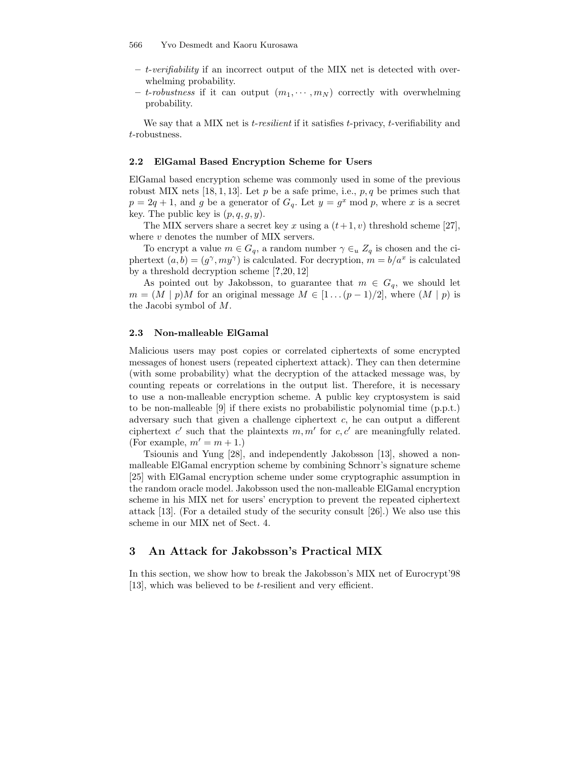- $t$ -verifiability if an incorrect output of the MIX net is detected with overwhelming probability.
- t-robustness if it can output  $(m_1, \dots, m_N)$  correctly with overwhelming probability.

We say that a MIX net is *t-resilient* if it satisfies *t*-privacy, *t*-verifiability and t-robustness.

#### 2.2 ElGamal Based Encryption Scheme for Users

ElGamal based encryption scheme was commonly used in some of the previous robust MIX nets [18, 1, 13]. Let p be a safe prime, i.e.,  $p, q$  be primes such that  $p = 2q + 1$ , and g be a generator of  $G_q$ . Let  $y = g^x \mod p$ , where x is a secret key. The public key is  $(p, q, g, y)$ .

The MIX servers share a secret key x using a  $(t+1, v)$  threshold scheme [27], where  $v$  denotes the number of MIX servers.

To encrypt a value  $m \in G_q$ , a random number  $\gamma \in u \, Z_q$  is chosen and the ciphertext  $(a, b) = (g^{\gamma}, my^{\gamma})$  is calculated. For decryption,  $m = b/a^{x}$  is calculated by a threshold decryption scheme [?,20, 12]

As pointed out by Jakobsson, to guarantee that  $m \in G_q$ , we should let  $m = (M | p)M$  for an original message  $M \in [1 \dots (p-1)/2]$ , where  $(M | p)$  is the Jacobi symbol of M.

### 2.3 Non-malleable ElGamal

Malicious users may post copies or correlated ciphertexts of some encrypted messages of honest users (repeated ciphertext attack). They can then determine (with some probability) what the decryption of the attacked message was, by counting repeats or correlations in the output list. Therefore, it is necessary to use a non-malleable encryption scheme. A public key cryptosystem is said to be non-malleable [9] if there exists no probabilistic polynomial time (p.p.t.) adversary such that given a challenge ciphertext  $c$ , he can output a different ciphertext c' such that the plaintexts  $m, m'$  for  $c, c'$  are meaningfully related. (For example,  $m' = m + 1$ .)

Tsiounis and Yung [28], and independently Jakobsson [13], showed a nonmalleable ElGamal encryption scheme by combining Schnorr's signature scheme [25] with ElGamal encryption scheme under some cryptographic assumption in the random oracle model. Jakobsson used the non-malleable ElGamal encryption scheme in his MIX net for users' encryption to prevent the repeated ciphertext attack [13]. (For a detailed study of the security consult [26].) We also use this scheme in our MIX net of Sect. 4.

# 3 An Attack for Jakobsson's Practical MIX

In this section, we show how to break the Jakobsson's MIX net of Eurocrypt'98 [13], which was believed to be *t*-resilient and very efficient.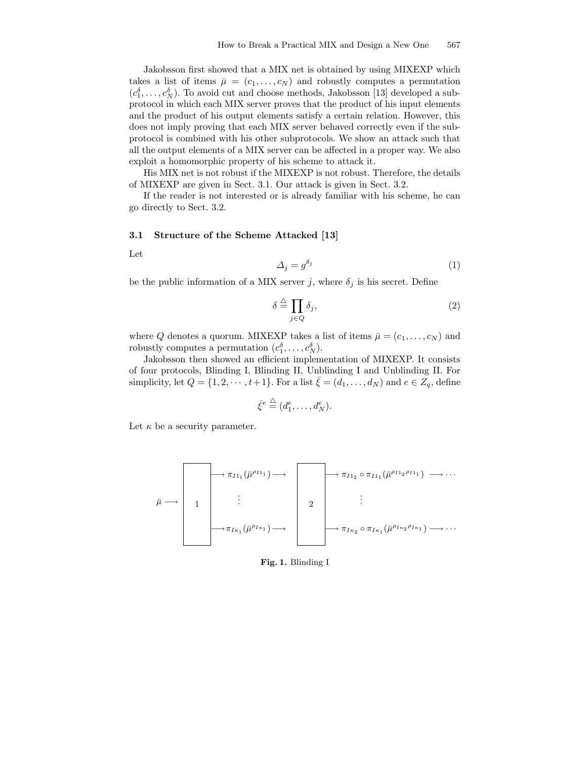Jakobsson first showed that a MIX net is obtained by using MIXEXP which takes a list of items  $\bar{\mu} = (c_1, \ldots, c_N)$  and robustly computes a permutation  $(c_1^{\delta}, \ldots, c_N^{\delta})$ . To avoid cut and choose methods, Jakobsson [13] developed a subprotocol in which each MIX server proves that the product of his input elements and the product of his output elements satisfy a certain relation. However, this does not imply proving that each MIX server behaved correctly even if the subprotocol is combined with his other subprotocols. We show an attack such that all the output elements of a MIX server can be affected in a proper way. We also exploit a homomorphic property of his scheme to attack it.

His MIX net is not robust if the MIXEXP is not robust. Therefore, the details of MIXEXP are given in Sect. 3.1. Our attack is given in Sect. 3.2.

If the reader is not interested or is already familiar with his scheme, he can go directly to Sect. 3.2.

### 3.1 Structure of the Scheme Attacked [13]

Let

$$
\Delta_j = g^{\delta_j} \tag{1}
$$

be the public information of a MIX server  $j,$  where  $\delta_j$  is his secret. Define

$$
\delta \stackrel{\triangle}{=} \prod_{j \in Q} \delta_j,\tag{2}
$$

where Q denotes a quorum. MIXEXP takes a list of items  $\bar{\mu} = (c_1, \ldots, c_N)$  and robustly computes a permutation  $(c_1^{\delta}, \ldots, c_N^{\delta}).$ 

Jakobsson then showed an efficient implementation of MIXEXP. It consists of four protocols, Blinding I, Blinding II, Unblinding I and Unblinding II. For simplicity, let  $Q = \{1, 2, \dots, t+1\}$ . For a list  $\bar{\xi} = (d_1, \dots, d_N)$  and  $e \in Z_q$ , define

$$
\bar{\xi}^e \stackrel{\triangle}{=} (d_1^e, \dots, d_N^e).
$$

Let  $\kappa$  be a security parameter.

$$
\bar{\mu} \longrightarrow \boxed{1}
$$
\n
$$
\vdots
$$
\n
$$
\rightarrow \pi_{I_{1}}(\bar{\mu}^{\rho_{I_{1}}}) \longrightarrow \boxed{2}
$$
\n
$$
\vdots
$$
\n
$$
\rightarrow \pi_{I_{\kappa_{1}}}(\bar{\mu}^{\rho_{I_{\kappa_{1}}}}) \longrightarrow \boxed{2}
$$
\n
$$
\vdots
$$
\n
$$
\downarrow \pi_{I_{\kappa_{2}} \circ \pi_{I_{\kappa_{1}}}(\bar{\mu}^{\rho_{I_{\kappa_{2}}\rho_{I_{\kappa_{1}}}}}) \longrightarrow \cdots
$$

Fig. 1. Blinding I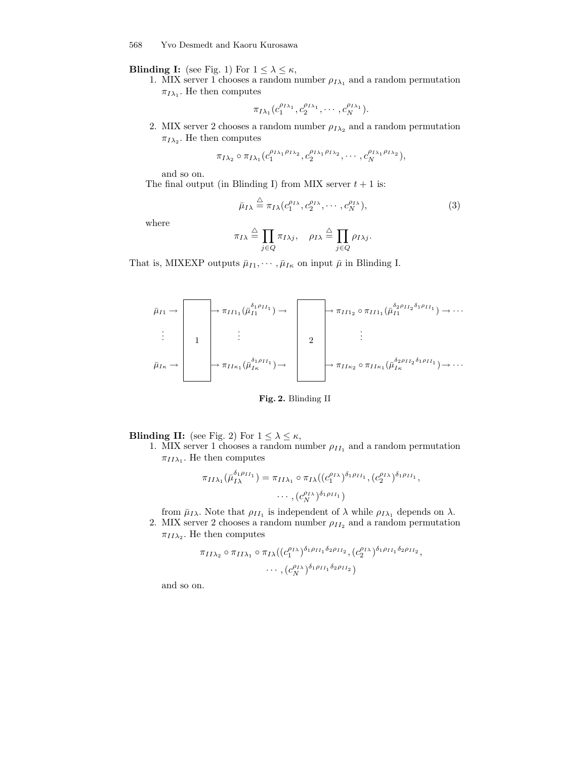568 Yvo Desmedt and Kaoru Kurosawa

**Blinding I:** (see Fig. 1) For  $1 \leq \lambda \leq \kappa$ ,

1. MIX server 1 chooses a random number  $\rho_{I\lambda_1}$  and a random permutation  $\pi_{I\lambda_1}$ . He then computes

$$
\pi_{I\lambda_1}(c_1^{\rho_{I\lambda_1}},c_2^{\rho_{I\lambda_1}},\cdots,c_N^{\rho_{I\lambda_1}}).
$$

2. MIX server 2 chooses a random number  $\rho_{I\lambda_2}$  and a random permutation  $\pi_{I\lambda_2}$ . He then computes

$$
\pi_{I\lambda_2} \circ \pi_{I\lambda_1}(c_1^{\rho_{I\lambda_1}\rho_{I\lambda_2}}, c_2^{\rho_{I\lambda_1}\rho_{I\lambda_2}}, \cdots, c_N^{\rho_{I\lambda_1}\rho_{I\lambda_2}}),
$$

and so on.

The final output (in Blinding I) from MIX server  $t + 1$  is:

$$
\bar{\mu}_{I\lambda} \stackrel{\triangle}{=} \pi_{I\lambda}(c_1^{\rho_{I\lambda}}, c_2^{\rho_{I\lambda}}, \cdots, c_N^{\rho_{I\lambda}}),\tag{3}
$$

where

$$
\pi_{I\lambda} \stackrel{\triangle}{=} \prod_{j\in Q} \pi_{I\lambda j}, \quad \rho_{I\lambda} \stackrel{\triangle}{=} \prod_{j\in Q} \rho_{I\lambda j}.
$$

That is, MIXEXP outputs  $\bar{\mu}_{I1}, \cdots, \bar{\mu}_{I\kappa}$  on input  $\bar{\mu}$  in Blinding I.

$$
\bar{\mu}_{I1} \rightarrow \begin{bmatrix} \overbrace{\phantom{a}} & \overbrace{\phantom{a}} & \overbrace{\phantom{a}} & \overbrace{\phantom{a}} & \overbrace{\phantom{a}} & \overbrace{\phantom{a}} & \overbrace{\phantom{a}} & \overbrace{\phantom{a}} & \overbrace{\phantom{a}} & \overbrace{\phantom{a}} & \overbrace{\phantom{a}} & \overbrace{\phantom{a}} & \overbrace{\phantom{a}} & \overbrace{\phantom{a}} & \overbrace{\phantom{a}} & \overbrace{\phantom{a}} & \overbrace{\phantom{a}} & \overbrace{\phantom{a}} & \overbrace{\phantom{a}} & \overbrace{\phantom{a}} & \overbrace{\phantom{a}} & \overbrace{\phantom{a}} & \overbrace{\phantom{a}} & \overbrace{\phantom{a}} & \overbrace{\phantom{a}} & \overbrace{\phantom{a}} & \overbrace{\phantom{a}} & \overbrace{\phantom{a}} & \overbrace{\phantom{a}} & \overbrace{\phantom{a}} & \overbrace{\phantom{a}} & \overbrace{\phantom{a}} & \overbrace{\phantom{a}} & \overbrace{\phantom{a}} & \overbrace{\phantom{a}} & \overbrace{\phantom{a}} & \overbrace{\phantom{a}} & \overbrace{\phantom{a}} & \overbrace{\phantom{a}} & \overbrace{\phantom{a}} & \overbrace{\phantom{a}} & \overbrace{\phantom{a}} & \overbrace{\phantom{a}} & \overbrace{\phantom{a}} & \overbrace{\phantom{a}} & \overbrace{\phantom{a}} & \overbrace{\phantom{a}} & \overbrace{\phantom{a}} & \overbrace{\phantom{a}} & \overbrace{\phantom{a}} & \overbrace{\phantom{a}} & \overbrace{\phantom{a}} & \overbrace{\phantom{a}} & \overbrace{\phantom{a}} & \overbrace{\phantom{a}} & \overbrace{\phantom{a}} & \overbrace{\phantom{a}} & \overbrace{\phantom{a}} & \overbrace{\phantom{a}} & \overbrace{\phantom{a}} & \overbrace{\phantom{a}} & \overbrace{\phantom{a}} & \overbrace{\phantom{a}} & \overbrace{\phantom{a}} & \overbrace{\phantom{a}} & \overbrace{\phantom{a}} & \overbrace{\phantom{a}} & \overbrace{\phantom{a}} & \overbrace{\phantom{a}} & \overbrace{\phantom{a}} & \overbrace{\phantom{a}} & \overbrace{\phantom{a}} & \overbrace{\phantom{a}} & \overbrace{\phantom{a}} & \overbrace{\
$$

# Fig. 2. Blinding II

**Blinding II:** (see Fig. 2) For  $1 \leq \lambda \leq \kappa$ ,

1. MIX server 1 chooses a random number  $\rho_{II_1}$  and a random permutation  $\pi_{II\lambda_1}$ . He then computes

$$
\pi_{II\lambda_1}(\bar{\mu}_{I\lambda}^{\delta_1\rho_{II_1}}) = \pi_{II\lambda_1} \circ \pi_{I\lambda}((c_1^{\rho_{I\lambda}})^{\delta_1\rho_{II_1}}, (c_2^{\rho_{I\lambda}})^{\delta_1\rho_{II_1}},
$$

$$
\cdots, (c_N^{\rho_{I\lambda}})^{\delta_1\rho_{II_1}})
$$

from  $\bar{\mu}_{I\lambda}$ . Note that  $\rho_{II_1}$  is independent of  $\lambda$  while  $\rho_{I\lambda_1}$  depends on  $\lambda$ . 2. MIX server 2 chooses a random number  $\rho_{II_2}$  and a random permutation

 $\pi_{II\lambda_2}$ . He then computes

$$
\pi_{II\lambda_2} \circ \pi_{II\lambda_1} \circ \pi_{I\lambda}((c_1^{\rho_{I\lambda}})^{\delta_1 \rho_{II_1} \delta_2 \rho_{II_2}}, (c_2^{\rho_{I\lambda}})^{\delta_1 \rho_{II_1} \delta_2 \rho_{II_2}},\cdots, (c_N^{\rho_{I\lambda}})^{\delta_1 \rho_{II_1} \delta_2 \rho_{II_2}})
$$

and so on.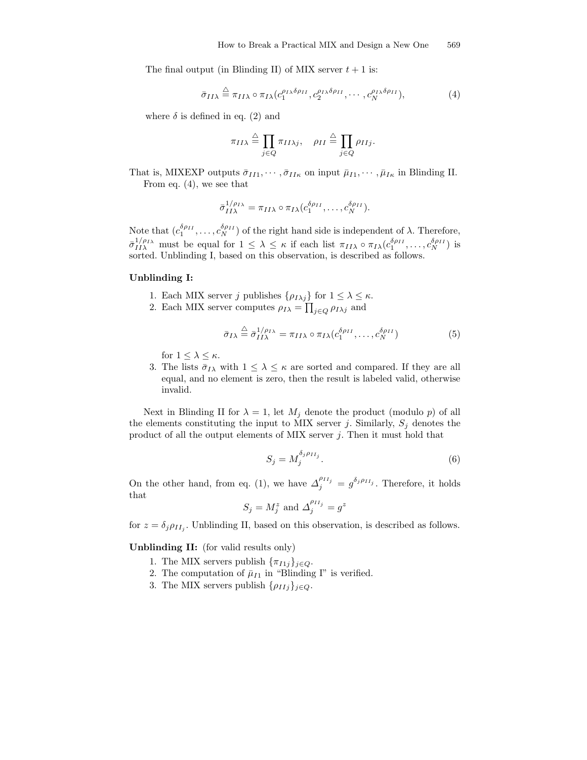The final output (in Blinding II) of MIX server  $t + 1$  is:

$$
\bar{\sigma}_{II\lambda} \stackrel{\triangle}{=} \pi_{II\lambda} \circ \pi_{I\lambda} (c_1^{\rho_{I\lambda}\delta\rho_{II}}, c_2^{\rho_{I\lambda}\delta\rho_{II}}, \cdots, c_N^{\rho_{I\lambda}\delta\rho_{II}}), \tag{4}
$$

where  $\delta$  is defined in eq. (2) and

$$
\pi_{II\lambda} \stackrel{\triangle}{=} \prod_{j \in Q} \pi_{II\lambda j}, \quad \rho_{II} \stackrel{\triangle}{=} \prod_{j \in Q} \rho_{IIj}.
$$

That is, MIXEXP outputs  $\bar{\sigma}_{II1}, \cdots, \bar{\sigma}_{II\kappa}$  on input  $\bar{\mu}_{I1}, \cdots, \bar{\mu}_{I\kappa}$  in Blinding II. From eq. (4), we see that

$$
\bar{\sigma}_{II\lambda}^{1/\rho_{I\lambda}} = \pi_{II\lambda} \circ \pi_{I\lambda} (c_1^{\delta \rho_{II}}, \dots, c_N^{\delta \rho_{II}}).
$$

Note that  $(c_1^{\delta \rho_{II}}, \ldots, c_N^{\delta \rho_{II}})$  of the right hand side is independent of  $\lambda$ . Therefore,  $\bar{\sigma}_{II\lambda}^{1/\rho_{I\lambda}}$  must be equal for  $1 \leq \lambda \leq \kappa$  if each list  $\pi_{II\lambda} \circ \pi_{I\lambda}(c_1^{\delta \rho_{II}}, \ldots, c_N^{\delta \rho_{II}})$  is sorted. Unblinding I, based on this observation, is described as follows.

#### Unblinding I:

- 1. Each MIX server j publishes  $\{\rho_{I\lambda j}\}\$  for  $1 \leq \lambda \leq \kappa$ .
- 2. Each MIX server computes  $\rho_{I\lambda} = \prod_{j\in Q} \rho_{I\lambda j}$  and

$$
\bar{\sigma}_{I\lambda} \stackrel{\triangle}{=} \bar{\sigma}_{II\lambda}^{1/\rho_{I\lambda}} = \pi_{II\lambda} \circ \pi_{I\lambda} (c_1^{\delta \rho_{II}}, \dots, c_N^{\delta \rho_{II}})
$$
(5)

for  $1 \leq \lambda \leq \kappa$ .

3. The lists  $\bar{\sigma}_{I\lambda}$  with  $1 \leq \lambda \leq \kappa$  are sorted and compared. If they are all equal, and no element is zero, then the result is labeled valid, otherwise invalid.

Next in Blinding II for  $\lambda = 1$ , let  $M_j$  denote the product (modulo p) of all the elements constituting the input to MIX server j. Similarly,  $S_j$  denotes the product of all the output elements of MIX server  $j$ . Then it must hold that

$$
S_j = M_j^{\delta_j \rho_{II_j}}.\tag{6}
$$

On the other hand, from eq. (1), we have  $\Delta_j^{\rho_{II_j}} = g^{\delta_j \rho_{II_j}}$ . Therefore, it holds that

$$
S_j = M_j^z
$$
 and 
$$
\Delta_j^{\rho_{II_j}} = g^z
$$

for  $z = \delta_j \rho_{II_j}$ . Unblinding II, based on this observation, is described as follows.

Unblinding II: (for valid results only)

- 1. The MIX servers publish  $\{\pi_{I1j}\}_{j\in Q}$ .
- 2. The computation of  $\bar{\mu}_{I1}$  in "Blinding I" is verified.
- 3. The MIX servers publish  $\{\rho_{IIj}\}_{j\in Q}$ .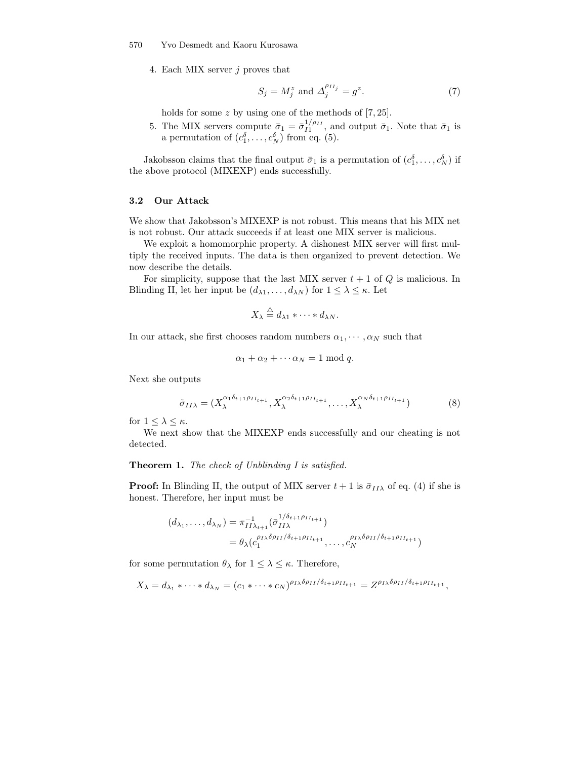#### 570 Yvo Desmedt and Kaoru Kurosawa

4. Each MIX server j proves that

$$
S_j = M_j^z \text{ and } \Delta_j^{\rho_{II_j}} = g^z. \tag{7}
$$

holds for some z by using one of the methods of [7, 25].

5. The MIX servers compute  $\bar{\sigma}_1 = \bar{\sigma}_{I1}^{1/\rho_{II}}$ , and output  $\bar{\sigma}_1$ . Note that  $\bar{\sigma}_1$  is a permutation of  $(c_1^{\delta}, \ldots, c_N^{\delta})$  from eq. (5).

Jakobsson claims that the final output  $\bar{\sigma}_1$  is a permutation of  $(c_1^{\delta}, \ldots, c_N^{\delta})$  if the above protocol (MIXEXP) ends successfully.

# 3.2 Our Attack

We show that Jakobsson's MIXEXP is not robust. This means that his MIX net is not robust. Our attack succeeds if at least one MIX server is malicious.

We exploit a homomorphic property. A dishonest MIX server will first multiply the received inputs. The data is then organized to prevent detection. We now describe the details.

For simplicity, suppose that the last MIX server  $t + 1$  of  $Q$  is malicious. In Blinding II, let her input be  $(d_{\lambda 1}, \ldots, d_{\lambda N})$  for  $1 \leq \lambda \leq \kappa$ . Let

$$
X_{\lambda} \stackrel{\triangle}{=} d_{\lambda 1} * \cdots * d_{\lambda N}.
$$

In our attack, she first chooses random numbers  $\alpha_1, \dots, \alpha_N$  such that

$$
\alpha_1 + \alpha_2 + \cdots + \alpha_N = 1 \bmod q.
$$

Next she outputs

$$
\tilde{\sigma}_{II\lambda} = (X_{\lambda}^{\alpha_1 \delta_{t+1} \rho_{II_{t+1}}}, X_{\lambda}^{\alpha_2 \delta_{t+1} \rho_{II_{t+1}}}, \dots, X_{\lambda}^{\alpha_N \delta_{t+1} \rho_{II_{t+1}}})
$$
(8)

for  $1 \leq \lambda \leq \kappa$ .

We next show that the MIXEXP ends successfully and our cheating is not detected.

### Theorem 1. The check of Unblinding I is satisfied.

**Proof:** In Blinding II, the output of MIX server  $t + 1$  is  $\bar{\sigma}_{II\lambda}$  of eq. (4) if she is honest. Therefore, her input must be

$$
(d_{\lambda_1}, \dots, d_{\lambda_N}) = \pi_{II\lambda_{t+1}}^{-1} (\bar{\sigma}_{II\lambda}^{1/\delta_{t+1}\rho_{II_{t+1}}})
$$
  
=  $\theta_{\lambda} (c_1^{\rho_{I\lambda}\delta\rho_{II}/\delta_{t+1}\rho_{II_{t+1}}}, \dots, c_N^{\rho_{I\lambda}\delta\rho_{II}/\delta_{t+1}\rho_{II_{t+1}}})$ 

for some permutation  $\theta_{\lambda}$  for  $1 \leq \lambda \leq \kappa$ . Therefore,

$$
X_{\lambda}=d_{\lambda_1}*\cdots*d_{\lambda_N}=(c_1*\cdots+c_N)^{\rho_{I\lambda}\delta\rho_{II}/\delta_{t+1}\rho_{II_{t+1}}}=Z^{\rho_{I\lambda}\delta\rho_{II}/\delta_{t+1}\rho_{II_{t+1}}},
$$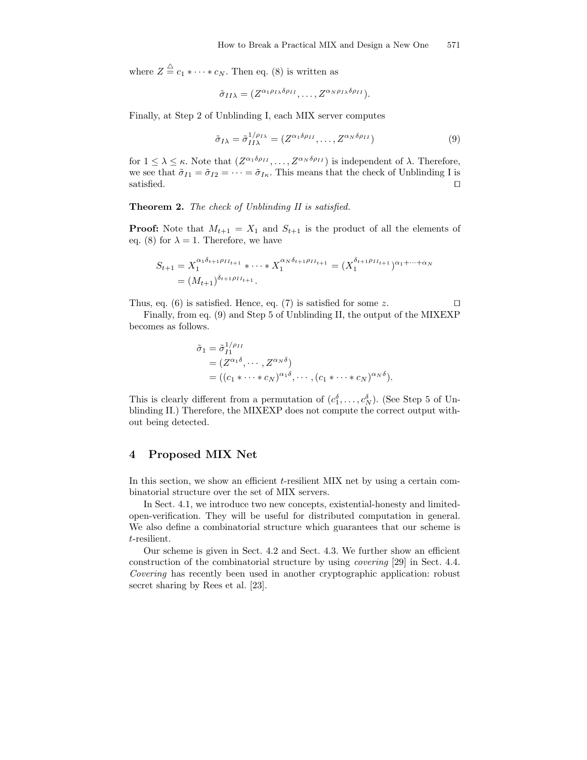where  $Z \stackrel{\triangle}{=} c_1 * \cdots * c_N$ . Then eq. (8) is written as

$$
\tilde{\sigma}_{II\lambda}=(Z^{\alpha_1\rho_{I\lambda}\delta\rho_{II}},\ldots,Z^{\alpha_N\rho_{I\lambda}\delta\rho_{II}}).
$$

Finally, at Step 2 of Unblinding I, each MIX server computes

$$
\tilde{\sigma}_{I\lambda} = \tilde{\sigma}_{II\lambda}^{1/\rho_{I\lambda}} = (Z^{\alpha_1 \delta \rho_{II}}, \dots, Z^{\alpha_N \delta \rho_{II}})
$$
\n(9)

for  $1 \leq \lambda \leq \kappa$ . Note that  $(Z^{\alpha_1 \delta \rho_{II}}, \ldots, Z^{\alpha_N \delta \rho_{II}})$  is independent of  $\lambda$ . Therefore, we see that  $\tilde{\sigma}_{I1} = \tilde{\sigma}_{I2} = \cdots = \tilde{\sigma}_{I\kappa}$ . This means that the check of Unblinding I is satisfied.  $\Box$ 

Theorem 2. The check of Unblinding II is satisfied.

**Proof:** Note that  $M_{t+1} = X_1$  and  $S_{t+1}$  is the product of all the elements of eq. (8) for  $\lambda = 1$ . Therefore, we have

$$
S_{t+1} = X_1^{\alpha_1 \delta_{t+1} \rho_{II_{t+1}}} * \cdots * X_1^{\alpha_N \delta_{t+1} \rho_{II_{t+1}}} = (X_1^{\delta_{t+1} \rho_{II_{t+1}}})^{\alpha_1 + \cdots + \alpha_N}
$$
  
=  $(M_{t+1})^{\delta_{t+1} \rho_{II_{t+1}}}.$ 

Thus, eq. (6) is satisfied. Hence, eq. (7) is satisfied for some z.  $\square$ 

Finally, from eq. (9) and Step 5 of Unblinding II, the output of the MIXEXP becomes as follows.

$$
\tilde{\sigma}_1 = \tilde{\sigma}_{I1}^{1/\rho_{II}} \n= (Z^{\alpha_1 \delta}, \cdots, Z^{\alpha_N \delta}) \n= ((c_1 * \cdots * c_N)^{\alpha_1 \delta}, \cdots, (c_1 * \cdots * c_N)^{\alpha_N \delta}).
$$

This is clearly different from a permutation of  $(c_1^{\delta}, \ldots, c_N^{\delta})$ . (See Step 5 of Unblinding II.) Therefore, the MIXEXP does not compute the correct output without being detected.

# 4 Proposed MIX Net

In this section, we show an efficient t-resilient MIX net by using a certain combinatorial structure over the set of MIX servers.

In Sect. 4.1, we introduce two new concepts, existential-honesty and limitedopen-verification. They will be useful for distributed computation in general. We also define a combinatorial structure which guarantees that our scheme is t-resilient.

Our scheme is given in Sect. 4.2 and Sect. 4.3. We further show an efficient construction of the combinatorial structure by using covering [29] in Sect. 4.4. Covering has recently been used in another cryptographic application: robust secret sharing by Rees et al. [23].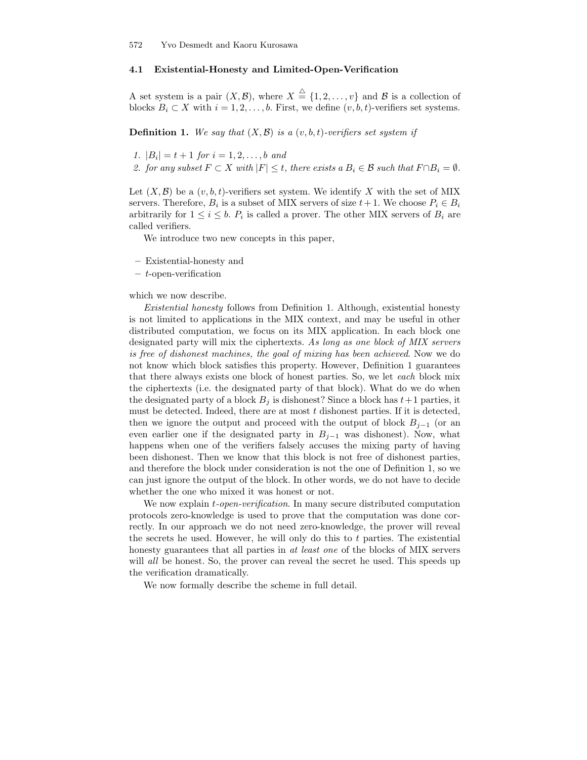## 4.1 Existential-Honesty and Limited-Open-Verification

A set system is a pair  $(X, \mathcal{B})$ , where  $X \stackrel{\triangle}{=} \{1, 2, \ldots, v\}$  and  $\mathcal{B}$  is a collection of blocks  $B_i \subset X$  with  $i = 1, 2, ..., b$ . First, we define  $(v, b, t)$ -verifiers set systems.

**Definition 1.** We say that  $(X, \mathcal{B})$  is a  $(v, b, t)$ -verifiers set system if

1.  $|B_i| = t + 1$  for  $i = 1, 2, ..., b$  and

2. for any subset  $F \subset X$  with  $|F| \leq t$ , there exists a  $B_i \in \mathcal{B}$  such that  $F \cap B_i = \emptyset$ .

Let  $(X, \mathcal{B})$  be a  $(v, b, t)$ -verifiers set system. We identify X with the set of MIX servers. Therefore,  $B_i$  is a subset of MIX servers of size  $t+1$ . We choose  $P_i \in B_i$ arbitrarily for  $1 \leq i \leq b$ .  $P_i$  is called a prover. The other MIX servers of  $B_i$  are called verifiers.

We introduce two new concepts in this paper,

- Existential-honesty and
- $-$  t-open-verification

which we now describe.

Existential honesty follows from Definition 1. Although, existential honesty is not limited to applications in the MIX context, and may be useful in other distributed computation, we focus on its MIX application. In each block one designated party will mix the ciphertexts. As long as one block of MIX servers is free of dishonest machines, the goal of mixing has been achieved. Now we do not know which block satisfies this property. However, Definition 1 guarantees that there always exists one block of honest parties. So, we let each block mix the ciphertexts (i.e. the designated party of that block). What do we do when the designated party of a block  $B_i$  is dishonest? Since a block has  $t+1$  parties, it must be detected. Indeed, there are at most  $t$  dishonest parties. If it is detected, then we ignore the output and proceed with the output of block  $B_{i-1}$  (or an even earlier one if the designated party in  $B_{i-1}$  was dishonest). Now, what happens when one of the verifiers falsely accuses the mixing party of having been dishonest. Then we know that this block is not free of dishonest parties, and therefore the block under consideration is not the one of Definition 1, so we can just ignore the output of the block. In other words, we do not have to decide whether the one who mixed it was honest or not.

We now explain *t-open-verification*. In many secure distributed computation protocols zero-knowledge is used to prove that the computation was done correctly. In our approach we do not need zero-knowledge, the prover will reveal the secrets he used. However, he will only do this to  $t$  parties. The existential honesty guarantees that all parties in at least one of the blocks of MIX servers will *all* be honest. So, the prover can reveal the secret he used. This speeds up the verification dramatically.

We now formally describe the scheme in full detail.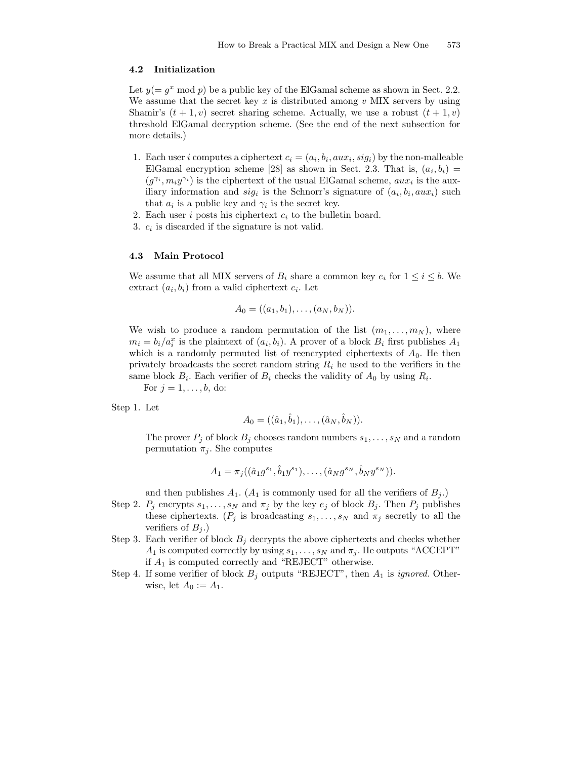### 4.2 Initialization

Let  $y(= g^x \mod p)$  be a public key of the ElGamal scheme as shown in Sect. 2.2. We assume that the secret key x is distributed among  $v$  MIX servers by using Shamir's  $(t + 1, v)$  secret sharing scheme. Actually, we use a robust  $(t + 1, v)$ threshold ElGamal decryption scheme. (See the end of the next subsection for more details.)

- 1. Each user *i* computes a ciphertext  $c_i = (a_i, b_i, aux_i, sig_i)$  by the non-malleable ElGamal encryption scheme [28] as shown in Sect. 2.3. That is,  $(a_i, b_i)$  =  $(g^{\gamma_i}, m_i y^{\gamma_i})$  is the ciphertext of the usual ElGamal scheme,  $a u x_i$  is the auxiliary information and  $sig_i$  is the Schnorr's signature of  $(a_i, b_i, aux_i)$  such that  $a_i$  is a public key and  $\gamma_i$  is the secret key.
- 2. Each user  $i$  posts his ciphertext  $c_i$  to the bulletin board.
- 3.  $c_i$  is discarded if the signature is not valid.

### 4.3 Main Protocol

We assume that all MIX servers of  $B_i$  share a common key  $e_i$  for  $1 \le i \le b$ . We extract  $(a_i, b_i)$  from a valid ciphertext  $c_i$ . Let

$$
A_0 = ((a_1, b_1), \ldots, (a_N, b_N)).
$$

We wish to produce a random permutation of the list  $(m_1, \ldots, m_N)$ , where  $m_i = b_i/a_i^x$  is the plaintext of  $(a_i, b_i)$ . A prover of a block  $B_i$  first publishes  $A_1$ which is a randomly permuted list of reencrypted ciphertexts of  $A_0$ . He then privately broadcasts the secret random string  $R_i$  he used to the verifiers in the same block  $B_i$ . Each verifier of  $B_i$  checks the validity of  $A_0$  by using  $R_i$ .

For  $j = 1, ..., b$ , do:

Step 1. Let

$$
A_0 = ((\hat{a}_1, \hat{b}_1), \dots, (\hat{a}_N, \hat{b}_N)).
$$

The prover  $P_j$  of block  $B_j$  chooses random numbers  $s_1, \ldots, s_N$  and a random permutation  $\pi_j$ . She computes

$$
A_1 = \pi_j((\hat{a}_1 g^{s_1}, \hat{b}_1 y^{s_1}), \dots, (\hat{a}_N g^{s_N}, \hat{b}_N y^{s_N})).
$$

and then publishes  $A_1$ .  $(A_1$  is commonly used for all the verifiers of  $B_i$ .)

- Step 2.  $P_j$  encrypts  $s_1, \ldots, s_N$  and  $\pi_j$  by the key  $e_j$  of block  $B_j$ . Then  $P_j$  publishes these ciphertexts. ( $P_j$  is broadcasting  $s_1, \ldots, s_N$  and  $\pi_j$  secretly to all the verifiers of  $B_j$ .)
- Step 3. Each verifier of block  $B_i$  decrypts the above ciphertexts and checks whether  $A_1$  is computed correctly by using  $s_1, \ldots, s_N$  and  $\pi_i$ . He outputs "ACCEPT" if A<sup>1</sup> is computed correctly and "REJECT" otherwise.
- Step 4. If some verifier of block  $B_j$  outputs "REJECT", then  $A_1$  is *ignored*. Otherwise, let  $A_0 := A_1$ .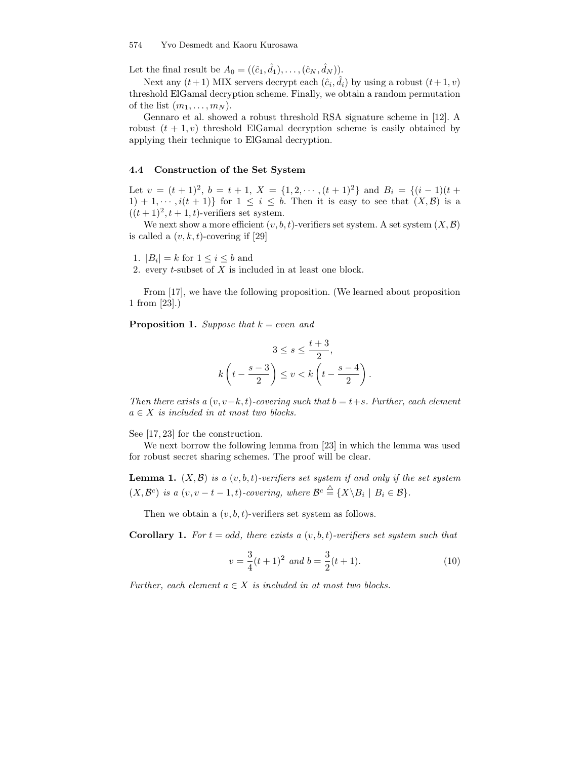#### 574 Yvo Desmedt and Kaoru Kurosawa

Let the final result be  $A_0 = ((\hat{c}_1, \hat{d}_1), \dots, (\hat{c}_N, \hat{d}_N)).$ 

Next any  $(t+1)$  MIX servers decrypt each  $(\hat{c}_i, \hat{d}_i)$  by using a robust  $(t+1, v)$ threshold ElGamal decryption scheme. Finally, we obtain a random permutation of the list  $(m_1, \ldots, m_N)$ .

Gennaro et al. showed a robust threshold RSA signature scheme in [12]. A robust  $(t + 1, v)$  threshold ElGamal decryption scheme is easily obtained by applying their technique to ElGamal decryption.

### 4.4 Construction of the Set System

Let  $v = (t + 1)^2$ ,  $b = t + 1$ ,  $X = \{1, 2, \dots, (t + 1)^2\}$  and  $B_i = \{(i - 1)(t +$  $1) + 1, \cdots, i(t + 1)$  for  $1 \leq i \leq b$ . Then it is easy to see that  $(X, \mathcal{B})$  is a  $((t+1)^2, t+1, t)$ -verifiers set system.

We next show a more efficient  $(v, b, t)$ -verifiers set system. A set system  $(X, \mathcal{B})$ is called a  $(v, k, t)$ -covering if [29]

1.  $|B_i| = k$  for  $1 \leq i \leq b$  and

2. every  $t$ -subset of  $X$  is included in at least one block.

From [17], we have the following proposition. (We learned about proposition 1 from [23].)

**Proposition 1.** Suppose that  $k = even$  and

$$
3 \le s \le \frac{t+3}{2},
$$
  

$$
k\left(t - \frac{s-3}{2}\right) \le v < k\left(t - \frac{s-4}{2}\right).
$$

Then there exists a  $(v, v-k, t)$ -covering such that  $b = t+s$ . Further, each element  $a \in X$  is included in at most two blocks.

See [17, 23] for the construction.

We next borrow the following lemma from [23] in which the lemma was used for robust secret sharing schemes. The proof will be clear.

**Lemma 1.**  $(X, \mathcal{B})$  is a  $(v, b, t)$ -verifiers set system if and only if the set system  $(X, \mathcal{B}^c)$  is a  $(v, v-t-1, t)$ -covering, where  $\mathcal{B}^c \stackrel{\triangle}{=} \{X \setminus B_i \mid B_i \in \mathcal{B}\}.$ 

Then we obtain a  $(v, b, t)$ -verifiers set system as follows.

**Corollary 1.** For  $t = odd$ , there exists a  $(v, b, t)$ -verifiers set system such that

$$
v = \frac{3}{4}(t+1)^2 \text{ and } b = \frac{3}{2}(t+1). \tag{10}
$$

Further, each element  $a \in X$  is included in at most two blocks.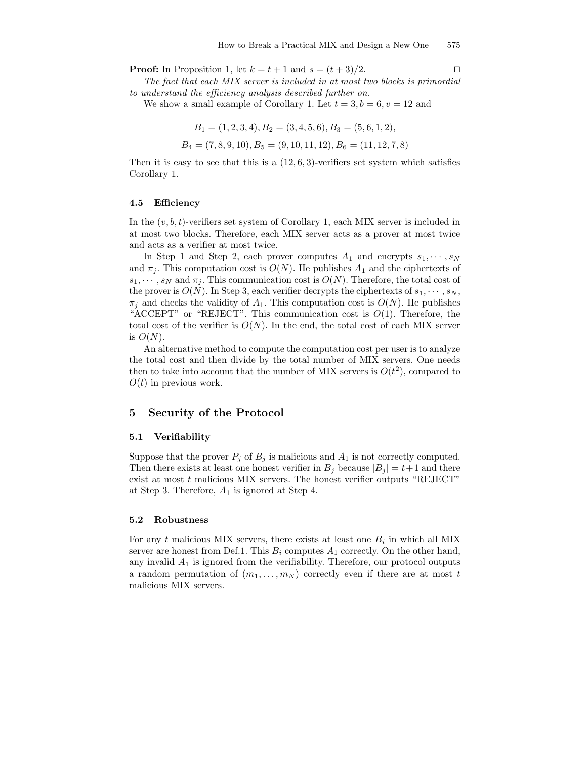**Proof:** In Proposition 1, let  $k = t + 1$  and  $s = (t + 3)/2$ .

The fact that each MIX server is included in at most two blocks is primordial to understand the efficiency analysis described further on.

We show a small example of Corollary 1. Let  $t = 3, b = 6, v = 12$  and

$$
B_1 = (1, 2, 3, 4), B_2 = (3, 4, 5, 6), B_3 = (5, 6, 1, 2),
$$

 $B_4 = (7, 8, 9, 10), B_5 = (9, 10, 11, 12), B_6 = (11, 12, 7, 8)$ 

Then it is easy to see that this is a  $(12, 6, 3)$ -verifiers set system which satisfies Corollary 1.

### 4.5 Efficiency

In the  $(v, b, t)$ -verifiers set system of Corollary 1, each MIX server is included in at most two blocks. Therefore, each MIX server acts as a prover at most twice and acts as a verifier at most twice.

In Step 1 and Step 2, each prover computes  $A_1$  and encrypts  $s_1, \dots, s_N$ and  $\pi_j$ . This computation cost is  $O(N)$ . He publishes  $A_1$  and the ciphertexts of  $s_1, \dots, s_N$  and  $\pi_j$ . This communication cost is  $O(N)$ . Therefore, the total cost of the prover is  $O(N)$ . In Step 3, each verifier decrypts the ciphertexts of  $s_1, \dots, s_N$ ,  $\pi_i$  and checks the validity of  $A_1$ . This computation cost is  $O(N)$ . He publishes "ACCEPT" or "REJECT". This communication cost is  $O(1)$ . Therefore, the total cost of the verifier is  $O(N)$ . In the end, the total cost of each MIX server is  $O(N)$ .

An alternative method to compute the computation cost per user is to analyze the total cost and then divide by the total number of MIX servers. One needs then to take into account that the number of MIX servers is  $O(t^2)$ , compared to  $O(t)$  in previous work.

### 5 Security of the Protocol

### 5.1 Verifiability

Suppose that the prover  $P_j$  of  $B_j$  is malicious and  $A_1$  is not correctly computed. Then there exists at least one honest verifier in  $B_i$  because  $|B_i| = t+1$  and there exist at most  $t$  malicious MIX servers. The honest verifier outputs "REJECT" at Step 3. Therefore,  $A_1$  is ignored at Step 4.

#### 5.2 Robustness

For any t malicious MIX servers, there exists at least one  $B_i$  in which all MIX server are honest from Def.1. This  $B_i$  computes  $A_1$  correctly. On the other hand, any invalid  $A_1$  is ignored from the verifiability. Therefore, our protocol outputs a random permutation of  $(m_1, \ldots, m_N)$  correctly even if there are at most t malicious MIX servers.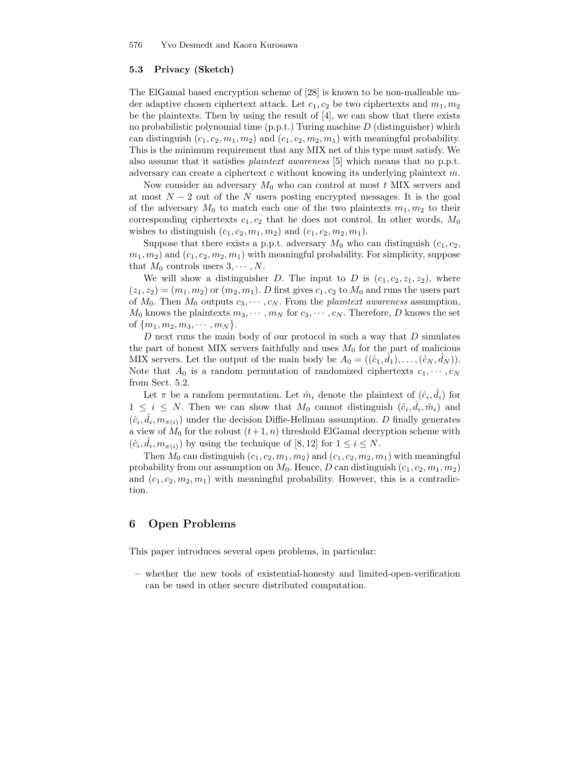## 5.3 Privacy (Sketch)

The ElGamal based encryption scheme of [28] is known to be non-malleable under adaptive chosen ciphertext attack. Let  $c_1, c_2$  be two ciphertexts and  $m_1, m_2$ be the plaintexts. Then by using the result of [4], we can show that there exists no probabilistic polynomial time  $(p.p.t.)$  Turing machine  $D$  (distinguisher) which can distinguish  $(c_1, c_2, m_1, m_2)$  and  $(c_1, c_2, m_2, m_1)$  with meaningful probability. This is the minimum requirement that any MIX net of this type must satisfy. We also assume that it satisfies plaintext awareness [5] which means that no p.p.t. adversary can create a ciphertext c without knowing its underlying plaintext m.

Now consider an adversary  $M_0$  who can control at most t MIX servers and at most  $N-2$  out of the N users posting encrypted messages. It is the goal of the adversary  $M_0$  to match each one of the two plaintexts  $m_1, m_2$  to their corresponding ciphertexts  $c_1, c_2$  that he does not control. In other words,  $M_0$ wishes to distinguish  $(c_1, c_2, m_1, m_2)$  and  $(c_1, c_2, m_2, m_1)$ .

Suppose that there exists a p.p.t. adversary  $M_0$  who can distinguish  $(c_1, c_2,$  $(m_1, m_2)$  and  $(c_1, c_2, m_2, m_1)$  with meaningful probability. For simplicity, suppose that  $M_0$  controls users  $3, \cdots, N$ .

We will show a distinguisher D. The input to D is  $(c_1, c_2, z_1, z_2)$ , where  $(z_1, z_2) = (m_1, m_2)$  or  $(m_2, m_1)$ . D first gives  $c_1, c_2$  to  $M_0$  and runs the users part of  $M_0$ . Then  $M_0$  outputs  $c_3, \dots, c_N$ . From the *plaintext awareness* assumption,  $M_0$  knows the plaintexts  $m_3, \dots, m_N$  for  $c_3, \dots, c_N$ . Therefore, D knows the set of  $\{m_1, m_2, m_3, \cdots, m_N\}.$ 

D next runs the main body of our protocol in such a way that  $D$  simulates the part of honest MIX servers faithfully and uses  $M_0$  for the part of malicious MIX servers. Let the output of the main body be  $A_0 = ((\hat{c}_1, \hat{d}_1), \dots, (\hat{c}_N, \hat{d}_N)).$ Note that  $A_0$  is a random permutation of randomized ciphertexts  $c_1, \dots, c_N$ from Sect. 5.2.

Let  $\pi$  be a random permutation. Let  $\hat{m}_i$  denote the plaintext of  $(\hat{c}_i, \hat{d}_i)$  for  $1 \leq i \leq N$ . Then we can show that  $M_0$  cannot distinguish  $(\hat{c}_i, \hat{d}_i, \hat{m}_i)$  and  $(\hat{c}_i, \hat{d}_i, m_{\pi(i)})$  under the decision Diffie-Hellman assumption. D finally generates a view of  $M_0$  for the robust  $(t+1, n)$  threshold ElGamal decryption scheme with  $(\hat{c}_i, \hat{d}_i, m_{\pi(i)})$  by using the technique of [8, 12] for  $1 \leq i \leq N$ .

Then  $M_0$  can distinguish  $(c_1, c_2, m_1, m_2)$  and  $(c_1, c_2, m_2, m_1)$  with meaningful probability from our assumption on  $M_0$ . Hence, D can distinguish  $(c_1, c_2, m_1, m_2)$ and  $(c_1, c_2, m_2, m_1)$  with meaningful probability. However, this is a contradiction.

# 6 Open Problems

This paper introduces several open problems, in particular:

– whether the new tools of existential-honesty and limited-open-verification can be used in other secure distributed computation.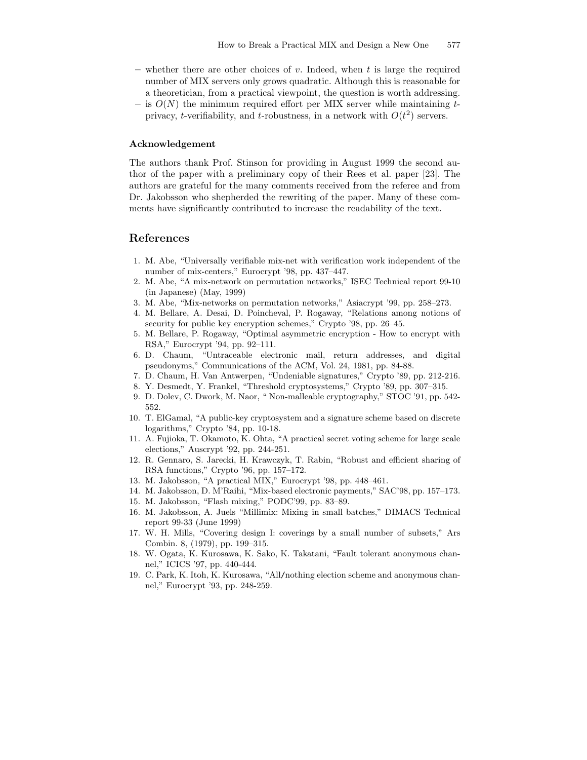- whether there are other choices of v. Indeed, when t is large the required number of MIX servers only grows quadratic. Although this is reasonable for a theoretician, from a practical viewpoint, the question is worth addressing.
- is  $O(N)$  the minimum required effort per MIX server while maintaining tprivacy, t-verifiability, and t-robustness, in a network with  $O(t^2)$  servers.

#### Acknowledgement

The authors thank Prof. Stinson for providing in August 1999 the second author of the paper with a preliminary copy of their Rees et al. paper [23]. The authors are grateful for the many comments received from the referee and from Dr. Jakobsson who shepherded the rewriting of the paper. Many of these comments have significantly contributed to increase the readability of the text.

# References

- 1. M. Abe, "Universally verifiable mix-net with verification work independent of the number of mix-centers," Eurocrypt '98, pp. 437–447.
- 2. M. Abe, "A mix-network on permutation networks," ISEC Technical report 99-10 (in Japanese) (May, 1999)
- 3. M. Abe, "Mix-networks on permutation networks," Asiacrypt '99, pp. 258–273.
- 4. M. Bellare, A. Desai, D. Poincheval, P. Rogaway, "Relations among notions of security for public key encryption schemes," Crypto '98, pp. 26–45.
- 5. M. Bellare, P. Rogaway, "Optimal asymmetric encryption How to encrypt with RSA," Eurocrypt '94, pp. 92–111.
- 6. D. Chaum, "Untraceable electronic mail, return addresses, and digital pseudonyms," Communications of the ACM, Vol. 24, 1981, pp. 84-88.
- 7. D. Chaum, H. Van Antwerpen, "Undeniable signatures," Crypto '89, pp. 212-216.
- 8. Y. Desmedt, Y. Frankel, "Threshold cryptosystems," Crypto '89, pp. 307–315.
- 9. D. Dolev, C. Dwork, M. Naor, " Non-malleable cryptography," STOC '91, pp. 542- 552.
- 10. T. ElGamal, "A public-key cryptosystem and a signature scheme based on discrete logarithms," Crypto '84, pp. 10-18.
- 11. A. Fujioka, T. Okamoto, K. Ohta, "A practical secret voting scheme for large scale elections," Auscrypt '92, pp. 244-251.
- 12. R. Gennaro, S. Jarecki, H. Krawczyk, T. Rabin, "Robust and efficient sharing of RSA functions," Crypto '96, pp. 157–172.
- 13. M. Jakobsson, "A practical MIX," Eurocrypt '98, pp. 448–461.
- 14. M. Jakobsson, D. M'Raihi, "Mix-based electronic payments," SAC'98, pp. 157–173.
- 15. M. Jakobsson, "Flash mixing," PODC'99, pp. 83–89.
- 16. M. Jakobsson, A. Juels "Millimix: Mixing in small batches," DIMACS Technical report 99-33 (June 1999)
- 17. W. H. Mills, "Covering design I: coverings by a small number of subsets," Ars Combin. 8, (1979), pp. 199–315.
- 18. W. Ogata, K. Kurosawa, K. Sako, K. Takatani, "Fault tolerant anonymous channel," ICICS '97, pp. 440-444.
- 19. C. Park, K. Itoh, K. Kurosawa, "All/nothing election scheme and anonymous channel," Eurocrypt '93, pp. 248-259.